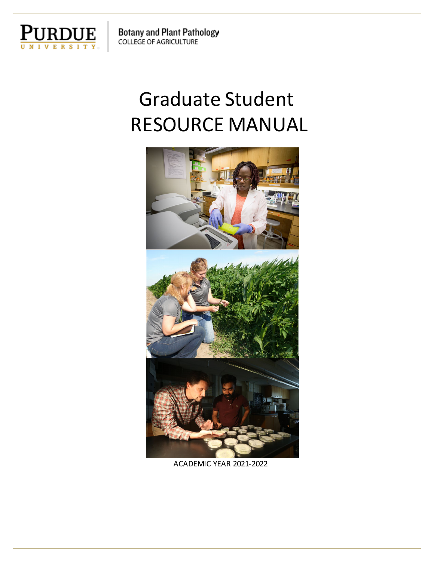

# Graduate Student RESOURCE MANUAL



ACADEMIC YEAR 2021-2022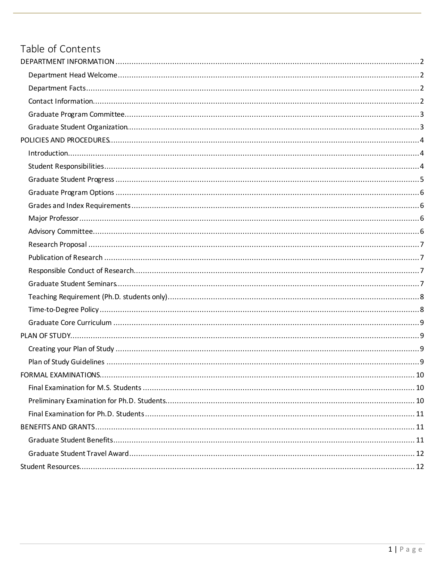#### Table of Contents

| FORMAL EXAMINATIONS. | .10 |
|----------------------|-----|
|                      |     |
|                      |     |
|                      |     |
|                      |     |
|                      |     |
|                      |     |
|                      |     |
|                      |     |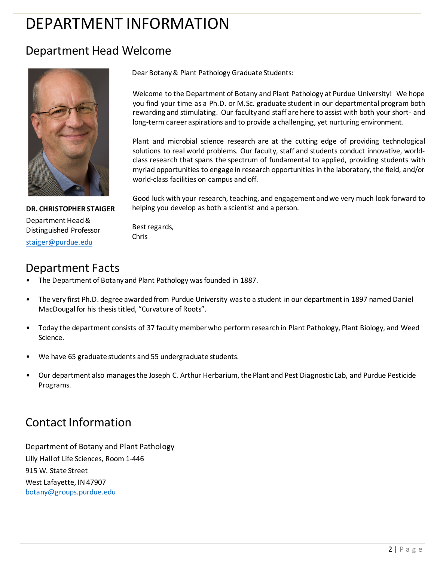## <span id="page-2-0"></span>DEPARTMENT INFORMATION

#### <span id="page-2-1"></span>Department Head Welcome



Dear Botany & Plant Pathology Graduate Students:

Welcome to the Department of Botany and Plant Pathology at Purdue University! We hope you find your time as a Ph.D. or M.Sc. graduate student in our departmental program both rewarding and stimulating. Our faculty and staff are here to assist with both your short- and long-term career aspirations and to provide a challenging, yet nurturing environment.

Plant and microbial science research are at the cutting edge of providing technological solutions to real world problems. Our faculty, staff and students conduct innovative, worldclass research that spans the spectrum of fundamental to applied, providing students with myriad opportunities to engage in research opportunities in the laboratory, the field, and/or world-class facilities on campus and off.

Good luck with your research, teaching, and engagement and we very much look forward to helping you develop as both a scientist and a person.

**DR. CHRISTOPHER STAIGER** Department Head & Distinguished Professor [staiger@purdue.edu](mailto:staiger@purdue.edu)

Best regards, Chris

#### <span id="page-2-2"></span>Department Facts

- The Department of Botany and Plant Pathology was founded in 1887.
- The very first Ph.D. degree awarded from Purdue University was to a student in our department in 1897 named Daniel MacDougal for his thesis titled, "Curvature of Roots".
- Today the department consists of 37 faculty member who perform research in Plant Pathology, Plant Biology, and Weed Science.
- We have 65 graduate students and 55 undergraduate students.
- Our department also manages the Joseph C. Arthur Herbarium, the Plant and Pest Diagnostic Lab, and Purdue Pesticide Programs.

### <span id="page-2-3"></span>Contact Information

Department of Botany and Plant Pathology Lilly Hall of Life Sciences, Room 1-446 915 W. State Street West Lafayette, IN 47907 [botany@groups.purdue.edu](mailto:botany@groups.purdue.edu)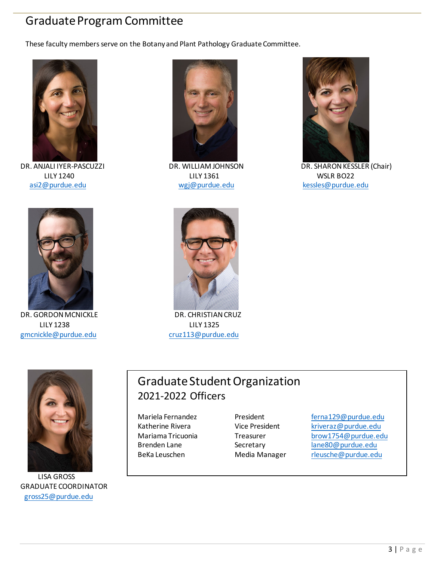#### <span id="page-3-0"></span>Graduate Program Committee

These faculty members serve on the Botany and Plant Pathology Graduate Committee.



DR. ANJALI IYER-PASCUZZI [asi2@purdue.edu](mailto:asi2@purdue.edu) [wgj@purdue.edu](mailto:wgj@purdue.edu) [kessles@purdue.edu](mailto:kessles@purdue.edu)



LILY 1240 LILY 1361 WSLR BO22



DR. WILLIAM JOHNSON DR. SHARON KESSLER (Chair)



DR. GORDON MCNICKLE DR. CHRISTIAN CRUZ LILY 1238 LILY 1325 [gmcnickle@purdue.edu](mailto:gmcnickle@purdue.edu) cruz113@purdue.edu





 LISA GROSS GRADUATE COORDINATOR [gross25@purdue.edu](mailto:gross25@purdue.edu)

### Graduate Student Organization 2021-2022 Officers

Mariela Fernandez President Ferna129@purdue.edu Katherine Rivera **Vice President** [kriveraz@purdue.edu](mailto:kriveraz@purdue.edu) Mariama Tricuonia Treasurer [brow1754@purdue.edu](mailto:brow1754@purdue.edu) Brenden Lane Secretary [lane80@purdue.edu](mailto:lane80@purdue.edu) BeKa Leuschen Media Manager [rleusche@purdue.edu](mailto:rleusche@purdue.edu)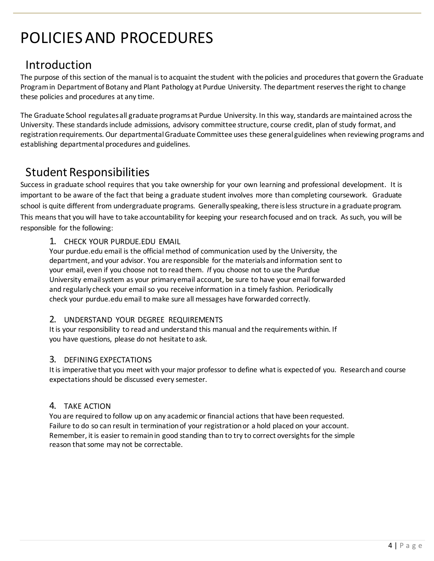## <span id="page-4-0"></span>POLICIES AND PROCEDURES

### <span id="page-4-1"></span>Introduction

The purpose of this section of the manual is to acquaint the student with the policies and procedures that govern the Graduate Program in Department of Botany and Plant Pathology at Purdue University. The department reserves the right to change these policies and procedures at any time.

The Graduate School regulates all graduate programs at Purdue University. In this way, standards are maintained across the University. These standards include admissions, advisory committee structure, course credit, plan of study format, and registration requirements. Our departmental Graduate Committee uses these general guidelines when reviewing programs and establishing departmental procedures and guidelines.

#### <span id="page-4-2"></span>Student Responsibilities

Success in graduate school requires that you take ownership for your own learning and professional development. It is important to be aware of the fact that being a graduate student involves more than completing coursework. Graduate school is quite different from undergraduate programs. Generally speaking, there is less structure in a graduate program. This means that you will have to take accountability for keeping your research focused and on track. As such, you will be responsible for the following:

#### 1. CHECK YOUR PURDUE.EDU EMAIL

Your purdue.edu email is the official method of communication used by the University, the department, and your advisor. You are responsible for the materials and information sent to your email, even if you choose not to read them. *I*f you choose not to use the Purdue University email system as your primary email account, be sure to have your email forwarded and regularly check your email so you receive information in a timely fashion. Periodically check your purdue.edu email to make sure all messages have forwarded correctly.

#### 2. UNDERSTAND YOUR DEGREE REQUIREMENTS

It is your responsibility to read and understand this manual and the requirements within. If you have questions, please do not hesitate to ask.

#### 3. DEFINING EXPECTATIONS

It is imperative that you meet with your major professor to define what is expected of you. Research and course expectations should be discussed every semester.

#### 4. TAKE ACTION

You are required to follow up on any academic or financial actions that have been requested. Failure to do so can result in termination of your registration or a hold placed on your account. Remember, it is easier to remain in good standing than to try to correct oversights for the simple reason that some may not be correctable.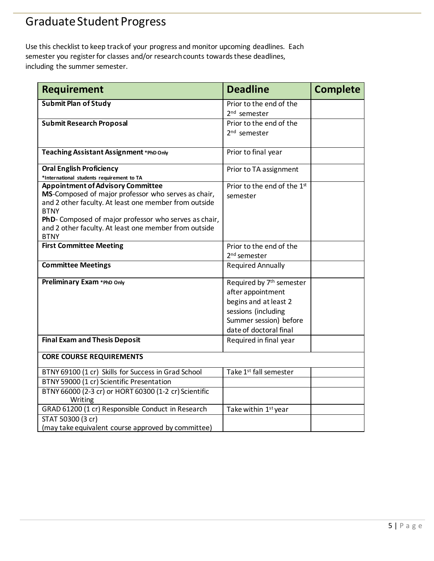## <span id="page-5-0"></span>Graduate Student Progress

Use this checklist to keep track of your progress and monitor upcoming deadlines. Each semester you register for classes and/or research counts towards these deadlines, including the summer semester.

| <b>Requirement</b>                                                                                                                                                                                                                                                                                       | <b>Deadline</b>                                                                                                                                               | <b>Complete</b> |
|----------------------------------------------------------------------------------------------------------------------------------------------------------------------------------------------------------------------------------------------------------------------------------------------------------|---------------------------------------------------------------------------------------------------------------------------------------------------------------|-----------------|
| <b>Submit Plan of Study</b>                                                                                                                                                                                                                                                                              | Prior to the end of the<br>2 <sup>nd</sup> semester                                                                                                           |                 |
| <b>Submit Research Proposal</b>                                                                                                                                                                                                                                                                          | Prior to the end of the<br>2 <sup>nd</sup> semester                                                                                                           |                 |
| Teaching Assistant Assignment *PhD Only                                                                                                                                                                                                                                                                  | Prior to final year                                                                                                                                           |                 |
| <b>Oral English Proficiency</b><br>*International students requirement to TA                                                                                                                                                                                                                             | Prior to TA assignment                                                                                                                                        |                 |
| <b>Appointment of Advisory Committee</b><br>MS-Composed of major professor who serves as chair,<br>and 2 other faculty. At least one member from outside<br><b>BTNY</b><br>PhD- Composed of major professor who serves as chair,<br>and 2 other faculty. At least one member from outside<br><b>BTNY</b> | Prior to the end of the 1st<br>semester                                                                                                                       |                 |
| <b>First Committee Meeting</b>                                                                                                                                                                                                                                                                           | Prior to the end of the<br>2 <sup>nd</sup> semester                                                                                                           |                 |
| <b>Committee Meetings</b>                                                                                                                                                                                                                                                                                | <b>Required Annually</b>                                                                                                                                      |                 |
| Preliminary Exam *PhD Only                                                                                                                                                                                                                                                                               | Required by 7 <sup>th</sup> semester<br>after appointment<br>begins and at least 2<br>sessions (including<br>Summer session) before<br>date of doctoral final |                 |
| <b>Final Exam and Thesis Deposit</b>                                                                                                                                                                                                                                                                     | Required in final year                                                                                                                                        |                 |
| <b>CORE COURSE REQUIREMENTS</b>                                                                                                                                                                                                                                                                          |                                                                                                                                                               |                 |
| BTNY 69100 (1 cr) Skills for Success in Grad School                                                                                                                                                                                                                                                      | Take 1 <sup>st</sup> fall semester                                                                                                                            |                 |
| BTNY 59000 (1 cr) Scientific Presentation                                                                                                                                                                                                                                                                |                                                                                                                                                               |                 |
| BTNY 66000 (2-3 cr) or HORT 60300 (1-2 cr) Scientific<br>Writing                                                                                                                                                                                                                                         |                                                                                                                                                               |                 |
| GRAD 61200 (1 cr) Responsible Conduct in Research                                                                                                                                                                                                                                                        | Take within 1st year                                                                                                                                          |                 |
| STAT 50300 (3 cr)<br>(may take equivalent course approved by committee)                                                                                                                                                                                                                                  |                                                                                                                                                               |                 |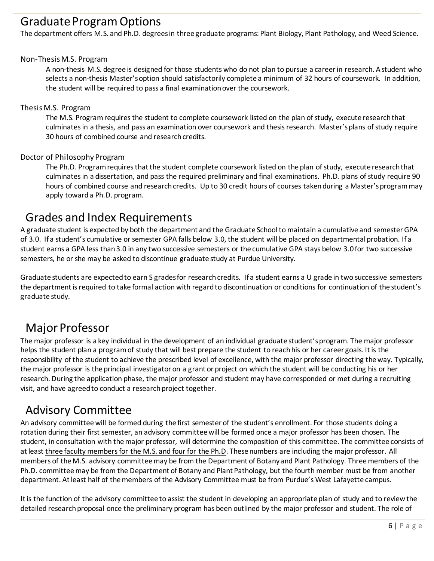#### <span id="page-6-0"></span>Graduate Program Options

The department offers M.S. and Ph.D. degrees in three graduate programs: Plant Biology, Plant Pathology, and Weed Science.

#### Non-Thesis M.S. Program

A non-thesis M.S. degree is designed for those students who do not plan to pursue a career in research. A student who selects a non-thesis Master's option should satisfactorily complete a minimum of 32 hours of coursework. In addition, the student will be required to pass a final examination over the coursework.

#### Thesis M.S. Program

The M.S. Program requires the student to complete coursework listed on the plan of study, execute research that culminates in a thesis, and pass an examination over coursework and thesis research. Master's plans of study require 30 hours of combined course and research credits.

#### Doctor of Philosophy Program

The Ph.D. Program requires that the student complete coursework listed on the plan of study, execute research that culminates in a dissertation, and pass the required preliminary and final examinations. Ph.D. plans of study require 90 hours of combined course and research credits. Up to 30 credit hours of courses taken during a Master's program may apply toward a Ph.D. program.

#### <span id="page-6-1"></span>Grades and Index Requirements

A graduate student is expected by both the department and the Graduate School to maintain a cumulative and semester GPA of 3.0. If a student's cumulative or semester GPA falls below 3.0, the student will be placed on departmental probation. If a student earns a GPA less than 3.0 in any two successive semesters or the cumulative GPA stays below 3.0 for two successive semesters, he or she may be asked to discontinue graduate study at Purdue University.

Graduate students are expected to earn S grades for research credits. If a student earns a U grade in two successive semesters the department is required to take formal action with regard to discontinuation or conditions for continuation of the student's graduate study.

#### <span id="page-6-2"></span>Major Professor

The major professor is a key individual in the development of an individual graduate student's program. The major professor helps the student plan a program of study that will best prepare the student to reach his or her career goals. It is the responsibility of the student to achieve the prescribed level of excellence, with the major professor directing the way. Typically, the major professor is the principal investigator on a grant or project on which the student will be conducting his or her research. During the application phase, the major professor and student may have corresponded or met during a recruiting visit, and have agreed to conduct a research project together.

#### <span id="page-6-3"></span>Advisory Committee

An advisory committee will be formed during the first semester of the student's enrollment. For those students doing a rotation during their first semester, an advisory committee will be formed once a major professor has been chosen. The student, in consultation with the major professor, will determine the composition of this committee. The committee consists of at least three faculty members for the M.S. and four for the Ph.D. These numbers are including the major professor. All members of the M.S. advisory committee may be from the Department of Botany and Plant Pathology. Three members of the Ph.D. committee may be from the Department of Botany and Plant Pathology, but the fourth member must be from another department. At least half of the members of the Advisory Committee must be from Purdue's West Lafayette campus.

It is the function of the advisory committee to assist the student in developing an appropriate plan of study and to review the detailed research proposal once the preliminary program has been outlined by the major professor and student. The role of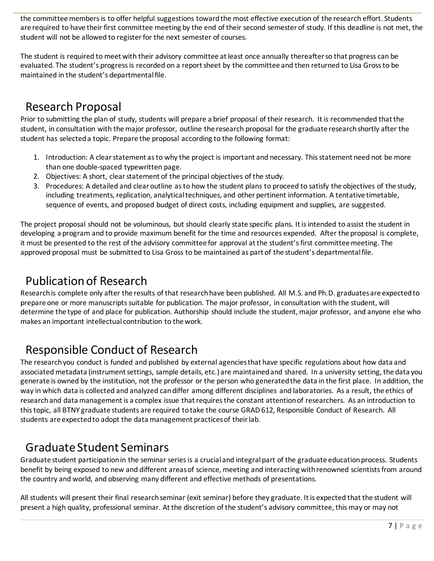the committee members is to offer helpful suggestions toward the most effective execution of the research effort. Students are required to have their first committee meeting by the end of their second semester of study. If this deadline is not met, the student will not be allowed to register for the next semester of courses.

The student is required to meet with their advisory committee at least once annually thereafter so that progress can be evaluated. The student's progress is recorded on a report sheet by the committee and then returned to Lisa Gross to be maintained in the student's departmental file.

#### <span id="page-7-0"></span>Research Proposal

Prior to submitting the plan of study, students will prepare a brief proposal of their research. It is recommended that the student, in consultation with the major professor, outline the research proposal for the graduate research shortly after the student has selected a topic. Prepare the proposal according to the following format:

- 1. Introduction: A clear statement as to why the project is important and necessary. This statement need not be more than one double-spaced typewritten page.
- 2. Objectives: A short, clear statement of the principal objectives of the study.
- 3. Procedures: A detailed and clear outline as to how the student plans to proceed to satisfy the objectives of the study, including treatments, replication, analytical techniques, and other pertinent information. A tentative timetable, sequence of events, and proposed budget of direct costs, including equipment and supplies, are suggested.

The project proposal should not be voluminous, but should clearly state specific plans. It is intended to assist the student in developing a program and to provide maximum benefit for the time and resources expended. After the proposal is complete, it must be presented to the rest of the advisory committee for approval at the student's first committee meeting. The approved proposal must be submitted to Lisa Gross to be maintained as part of the student's departmental file.

### <span id="page-7-1"></span>Publication of Research

Research is complete only after the results of that research have been published. All M.S. and Ph.D. graduates are expected to prepare one or more manuscripts suitable for publication. The major professor, in consultation with the student, will determine the type of and place for publication. Authorship should include the student, major professor, and anyone else who makes an important intellectual contribution to the work.

### <span id="page-7-2"></span>Responsible Conduct of Research

The research you conduct is funded and published by external agencies that have specific regulations about how data and associated metadata (instrument settings, sample details, etc.) are maintained and shared. In a university setting, the data you generate is owned by the institution, not the professor or the person who generated the data in the first place. In addition, the way in which data is collected and analyzed can differ among different disciplines and laboratories. As a result, the ethics of research and data management is a complex issue that requires the constant attention of researchers. As an introduction to this topic, all BTNY graduate students are required to take the course GRAD 612, Responsible Conduct of Research. All students are expected to adopt the data management practices of their lab.

### <span id="page-7-3"></span>Graduate Student Seminars

Graduate student participation in the seminar series is a crucial and integral part of the graduate education process. Students benefit by being exposed to new and different areas of science, meeting and interacting with renowned scientists from around the country and world, and observing many different and effective methods of presentations.

All students will present their final research seminar (exit seminar) before they graduate. It is expected that the student will present a high quality, professional seminar. At the discretion of the student's advisory committee, this may or may not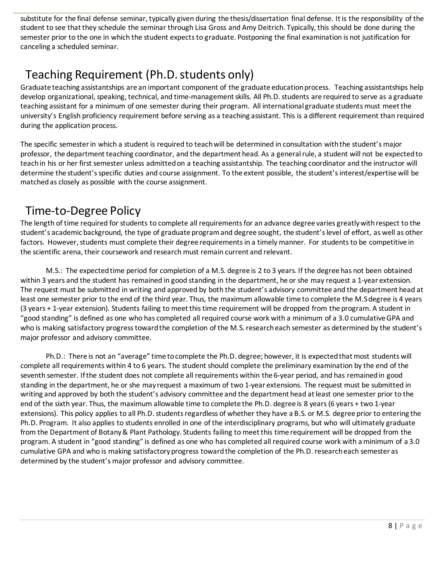substitute for the final defense seminar, typically given during the thesis/dissertation final defense. It is the responsibility of the student to see that they schedule the seminar through Lisa Gross and Amy Deitrich. Typically, this should be done during the semester prior to the one in which the student expects to graduate. Postponing the final examination is not justification for canceling a scheduled seminar.

### <span id="page-8-0"></span>Teaching Requirement (Ph.D. students only)

Graduate teaching assistantships are an important component of the graduate education process. Teaching assistantships help develop organizational, speaking, technical, and time-management skills. All Ph.D. students are required to serve as a graduate teaching assistant for a minimum of one semester during their program. All international graduate students must meet the university's English proficiency requirement before serving as a teaching assistant. This is a different requirement than required during the application process.

The specific semester in which a student is required to teach will be determined in consultation with the student's major professor, the department teaching coordinator, and the department head. As a general rule, a student will not be expected to teach in his or her first semester unless admitted on a teaching assistantship. The teaching coordinator and the instructor will determine the student's specific duties and course assignment. To the extent possible, the student's interest/expertise will be matched as closely as possible with the course assignment.

### <span id="page-8-1"></span>Time-to-Degree Policy

The length of time required for students to complete all requirements for an advance degree varies greatly with respect to the student's academic background, the type of graduate program and degree sought, the student's level of effort, as well as other factors. However, students must complete their degree requirements in a timely manner. For students to be competitive in the scientific arena, their coursework and research must remain current and relevant.

M.S.: The expected time period for completion of a M.S. degree is 2 to 3 years. If the degree has not been obtained within 3 years and the student has remained in good standing in the department, he or she may request a 1-year extension. The request must be submitted in writing and approved by both the student's advisory committee and the department head at least one semester prior to the end of the third year. Thus, the maximum allowable time to complete the M.S degree is 4 years (3 years + 1-year extension). Students failing to meet this time requirement will be dropped from the program. A student in "good standing" is defined as one who has completed all required course work with a minimum of a 3.0 cumulative GPA and who is making satisfactory progress toward the completion of the M.S. research each semester as determined by the student's major professor and advisory committee.

Ph.D.: There is not an "average" time to complete the Ph.D. degree; however, it is expected that most students will complete all requirements within 4 to 6 years. The student should complete the preliminary examination by the end of the seventh semester. If the student does not complete all requirements within the 6-year period, and has remained in good standing in the department, he or she may request a maximum of two 1-year extensions. The request must be submitted in writing and approved by both the student's advisory committee and the department head at least one semester prior to the end of the sixth year. Thus, the maximum allowable time to complete the Ph.D. degree is 8 years (6 years + two 1-year extensions). This policy applies to all Ph.D. students regardless of whether they have a B.S. or M.S. degree prior to entering the Ph.D. Program. It also applies to students enrolled in one of the interdisciplinary programs, but who will ultimately graduate from the Department of Botany & Plant Pathology. Students failing to meet this time requirement will be dropped from the program. A student in "good standing" is defined as one who has completed all required course work with a minimum of a 3.0 cumulative GPA and who is making satisfactory progress toward the completion of the Ph.D. research each semester as determined by the student's major professor and advisory committee.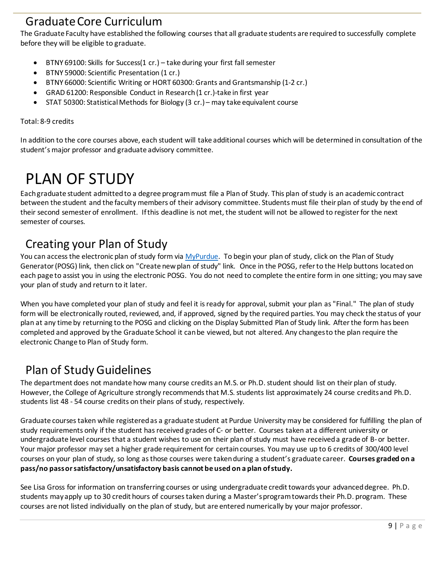#### <span id="page-9-0"></span>Graduate Core Curriculum

The Graduate Faculty have established the following courses that all graduate students are required to successfully complete before they will be eligible to graduate.

- BTNY 69100: Skills for Success(1 cr.) take during your first fall semester
- BTNY 59000: Scientific Presentation (1 cr.)
- BTNY 66000: Scientific Writing or HORT 60300: Grants and Grantsmanship (1-2 cr.)
- GRAD 61200: Responsible Conduct in Research (1 cr.)-take in first year
- STAT 50300: Statistical Methods for Biology (3 cr.) may take equivalent course

#### Total: 8-9 credits

In addition to the core courses above, each student will take additional courses which will be determined in consultation of the student's major professor and graduate advisory committee.

## <span id="page-9-1"></span>PLAN OF STUDY

Each graduate student admitted to a degree program must file a Plan of Study. This plan of study is an academic contract between the student and the faculty members of their advisory committee. Students must file their plan of study by the end of their second semester of enrollment. If this deadline is not met, the student will not be allowed to register for the next semester of courses.

#### <span id="page-9-2"></span>Creating your Plan of Study

You can access the electronic plan of study form via [MyPurdue.](https://mypurdue.purdue.edu/cp/home/loginf) To begin your plan of study, click on the Plan of Study Generator (POSG) link, then click on "Create new plan of study" link. Once in the POSG, refer to the Help buttons located on each page to assist you in using the electronic POSG. You do not need to complete the entire form in one sitting; you may save your plan of study and return to it later.

When you have completed your plan of study and feel it is ready for approval, submit your plan as "Final." The plan of study form will be electronically routed, reviewed, and, if approved, signed by the required parties. You may check the status of your plan at any time by returning to the POSG and clicking on the Display Submitted Plan of Study link. After the form has been completed and approved by the Graduate School it can be viewed, but not altered. Any changes to the plan require the electronic Change to Plan of Study form.

### <span id="page-9-3"></span>Plan of Study Guidelines

The department does not mandate how many course credits an M.S. or Ph.D. student should list on their plan of study. However, the College of Agriculture strongly recommends that M.S. students list approximately 24 course credits and Ph.D. students list 48 - 54 course credits on their plans of study, respectively.

Graduate courses taken while registered as a graduate student at Purdue University may be considered for fulfilling the plan of study requirements only if the student has received grades of C- or better. Courses taken at a different university or undergraduate level courses that a student wishes to use on their plan of study must have received a grade of B-or better. Your major professor may set a higher grade requirement for certain courses. You may use up to 6 credits of 300/400 level courses on your plan of study, so long as those courses were taken during a student's graduate career. **Courses graded on a pass/no pass or satisfactory/unsatisfactory basis cannot be used on a plan of study.**

See Lisa Gross for information on transferring courses or using undergraduate credit towards your advanced degree. Ph.D. students may apply up to 30 credit hours of courses taken during a Master's program towards their Ph.D. program. These courses are not listed individually on the plan of study, but are entered numerically by your major professor.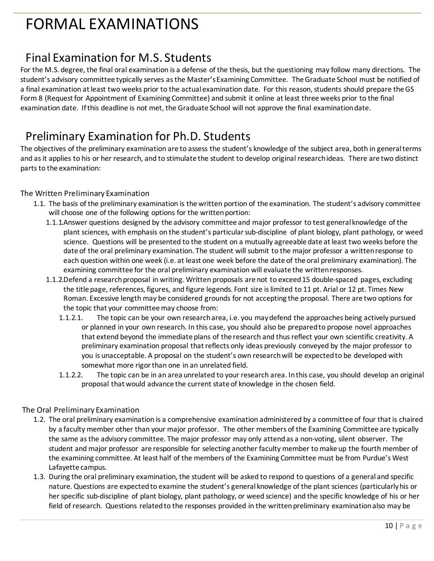## <span id="page-10-0"></span>FORMAL EXAMINATIONS

### <span id="page-10-1"></span>Final Examination for M.S. Students

For the M.S. degree, the final oral examination is a defense of the thesis, but the questioning may follow many directions. The student's advisory committee typically serves as the Master's Examining Committee. The Graduate School must be notified of a final examination at least two weeks prior to the actual examination date. For this reason, students should prepare the GS Form 8 (Request for Appointment of Examining Committee) and submit it online at least three weeks prior to the final examination date. If this deadline is not met, the Graduate School will not approve the final examination date.

#### <span id="page-10-2"></span>Preliminary Examination for Ph.D. Students

The objectives of the preliminary examination are to assess the student's knowledge of the subject area, both in general terms and as it applies to his or her research, and to stimulate the student to develop original research ideas. There are two distinct parts to the examination:

#### The Written Preliminary Examination

- 1.1. The basis of the preliminary examination is the written portion of the examination. The student's advisory committee will choose one of the following options for the written portion:
	- 1.1.1.Answer questions designed by the advisory committee and major professor to test general knowledge of the plant sciences, with emphasis on the student's particular sub-discipline of plant biology, plant pathology, or weed science. Questions will be presented to the student on a mutually agreeable date at least two weeks before the date of the oral preliminary examination. The student will submit to the major professor a written response to each question within one week (i.e. at least one week before the date of the oral preliminary examination). The examining committee for the oral preliminary examination will evaluate the written responses.
	- 1.1.2.Defend a research proposal in writing. Written proposals are not to exceed 15 double-spaced pages, excluding the title page, references, figures, and figure legends. Font size is limited to 11 pt. Arial or 12 pt. Times New Roman. Excessive length may be considered grounds for not accepting the proposal. There are two options for the topic that your committee may choose from:
		- 1.1.2.1. The topic can be your own research area, i.e. you may defend the approaches being actively pursued or planned in your own research. In this case, you should also be prepared to propose novel approaches that extend beyond the immediate plans of the research and thus reflect your own scientific creativity. A preliminary examination proposal that reflects only ideas previously conveyed by the major professor to you is unacceptable. A proposal on the student's own research will be expected to be developed with somewhat more rigor than one in an unrelated field.
		- 1.1.2.2. The topic can be in an area unrelated to your research area. In this case, you should develop an original proposal that would advance the current state of knowledge in the chosen field.

#### The Oral Preliminary Examination

- 1.2. The oral preliminary examination is a comprehensive examination administered by a committee of four that is chaired by a faculty member other than your major professor. The other members of the Examining Committee are typically the same as the advisory committee. The major professor may only attend as a non-voting, silent observer. The student and major professor are responsible for selecting another faculty member to make up the fourth member of the examining committee. At least half of the members of the Examining Committee must be from Purdue's West Lafayette campus.
- 1.3. During the oral preliminary examination, the student will be asked to respond to questions of a general and specific nature. Questions are expected to examine the student's general knowledge of the plant sciences (particularly his or her specific sub-discipline of plant biology, plant pathology, or weed science) and the specific knowledge of his or her field of research. Questions related to the responses provided in the written preliminary examination also may be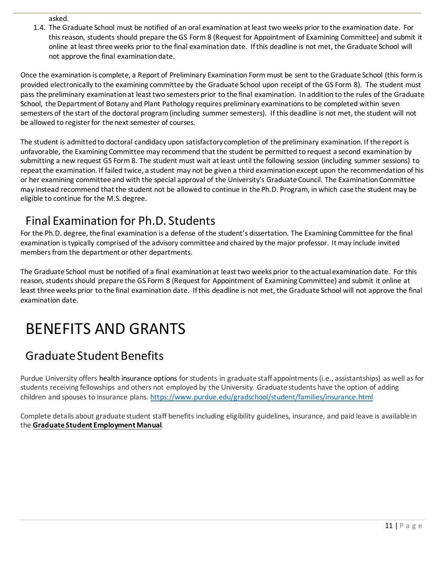asked.

1.4. The Graduate School must be notified of an oral examination at least two weeks prior to the examination date. For this reason, students should prepare the GS Form 8 (Request for Appointment of Examining Committee) and submit it online at least three weeks prior to the final examination date. If this deadline is not met, the Graduate School will not approve the final examination date.

Once the examination is complete, a Report of Preliminary Examination Form must be sent to the Graduate School (this form is provided electronically to the examining committee by the Graduate School upon receipt of the GS Form 8). The student must pass the preliminary examination at least two semesters prior to the final examination. In addition to the rules of the Graduate School, the Department of Botany and Plant Pathology requires preliminary examinations to be completed within seven semesters of the start of the doctoral program (including summer semesters). If this deadline is not met, the student will not be allowed to register for the next semester of courses.

The student is admitted to doctoral candidacy upon satisfactory completion of the preliminary examination. If the report is unfavorable, the Examining Committee may recommend that the student be permitted to request a second examination by submitting a new request GS Form 8. The student must wait at least until the following session (including summer sessions) to repeat the examination. If failed twice, a student may not be given a third examination except upon the recommendation of his or her examining committee and with the special approval of the University's Graduate Council. The Examination Committee may instead recommend that the student not be allowed to continue in the Ph.D. Program, in which case the student may be eligible to continue for the M.S. degree.

### <span id="page-11-0"></span>Final Examination for Ph.D. Students

For the Ph.D. degree, the final examination is a defense of the student's dissertation. The Examining Committee for the final examination is typically comprised of the advisory committee and chaired by the major professor. It may include invited members from the department or other departments.

The Graduate School must be notified of a final examination at least two weeks prior to the actual examination date. For this reason, students should prepare the GS Form 8 (Request for Appointment of Examining Committee) and submit it online at least three weeks prior to the final examination date. If this deadline is not met, the Graduate School will not approve the final examination date.

## <span id="page-11-1"></span>BENEFITS AND GRANTS

### <span id="page-11-2"></span>Graduate Student Benefits

Purdue University offers health insurance options for students in graduate staff appointments (i.e., assistantships) as well as for students receiving fellowships and others not employed by the University. Graduate students have the option of adding children and spouses to insurance plans. <https://www.purdue.edu/gradschool/student/families/insurance.html>

Complete details about graduate student staff benefits including eligibility guidelines, insurance, and paid leave is available in the **Graduate Student [Employment](https://www.purdue.edu/gradschool/documents/gpo/graduate-student-employment-manual.pdf) Manual**.